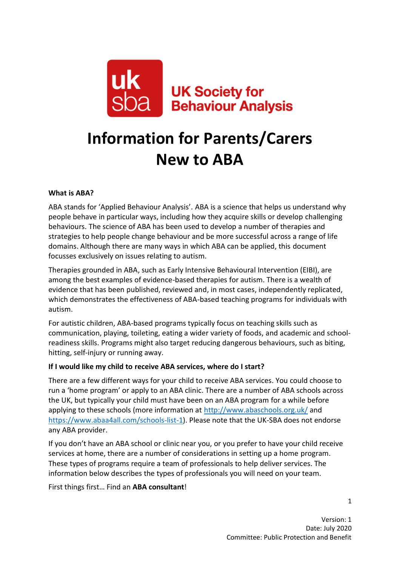

# **Information for Parents/Carers New to ABA**

#### **What is ABA?**

ABA stands for 'Applied Behaviour Analysis'. ABA is a science that helps us understand why people behave in particular ways, including how they acquire skills or develop challenging behaviours. The science of ABA has been used to develop a number of therapies and strategies to help people change behaviour and be more successful across a range of life domains. Although there are many ways in which ABA can be applied, this document focusses exclusively on issues relating to autism.

Therapies grounded in ABA, such as Early Intensive Behavioural Intervention (EIBI), are among the best examples of evidence-based therapies for autism. There is a wealth of evidence that has been published, reviewed and, in most cases, independently replicated, which demonstrates the effectiveness of ABA-based teaching programs for individuals with autism.

For autistic children, ABA-based programs typically focus on teaching skills such as communication, playing, toileting, eating a wider variety of foods, and academic and schoolreadiness skills. Programs might also target reducing dangerous behaviours, such as biting, hitting, self-injury or running away.

## **If I would like my child to receive ABA services, where do I start?**

There are a few different ways for your child to receive ABA services. You could choose to run a 'home program' or apply to an ABA clinic. There are a number of ABA schools across the UK, but typically your child must have been on an ABA program for a while before applying to these schools (more information at<http://www.abaschools.org.uk/> and [https://www.abaa4all.com/schools-list-1\)](https://www.abaa4all.com/schools-list-1). Please note that the UK-SBA does not endorse any ABA provider.

If you don't have an ABA school or clinic near you, or you prefer to have your child receive services at home, there are a number of considerations in setting up a home program. These types of programs require a team of professionals to help deliver services. The information below describes the types of professionals you will need on your team.

First things first… Find an **ABA consultant**!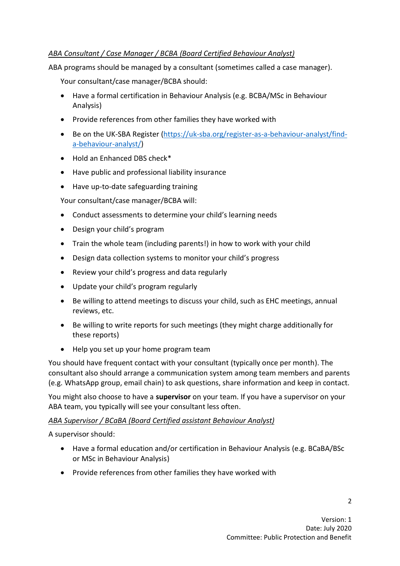## *ABA Consultant / Case Manager / BCBA (Board Certified Behaviour Analyst)*

ABA programs should be managed by a consultant (sometimes called a case manager).

Your consultant/case manager/BCBA should:

- Have a formal certification in Behaviour Analysis (e.g. BCBA/MSc in Behaviour Analysis)
- Provide references from other families they have worked with
- Be on the UK-SBA Register [\(https://uk-sba.org/register-as-a-behaviour-analyst/find](https://uk-sba.org/register-as-a-behaviour-analyst/find-a-behaviour-analyst/)[a-behaviour-analyst/\)](https://uk-sba.org/register-as-a-behaviour-analyst/find-a-behaviour-analyst/)
- Hold an Enhanced DBS check\*
- Have public and professional liability insurance
- Have up-to-date safeguarding training

Your consultant/case manager/BCBA will:

- Conduct assessments to determine your child's learning needs
- Design your child's program
- Train the whole team (including parents!) in how to work with your child
- Design data collection systems to monitor your child's progress
- Review your child's progress and data regularly
- Update your child's program regularly
- Be willing to attend meetings to discuss your child, such as EHC meetings, annual reviews, etc.
- Be willing to write reports for such meetings (they might charge additionally for these reports)
- Help you set up your home program team

You should have frequent contact with your consultant (typically once per month). The consultant also should arrange a communication system among team members and parents (e.g. WhatsApp group, email chain) to ask questions, share information and keep in contact.

You might also choose to have a **supervisor** on your team. If you have a supervisor on your ABA team, you typically will see your consultant less often.

## *ABA Supervisor / BCaBA (Board Certified assistant Behaviour Analyst)*

A supervisor should:

- Have a formal education and/or certification in Behaviour Analysis (e.g. BCaBA/BSc or MSc in Behaviour Analysis)
- Provide references from other families they have worked with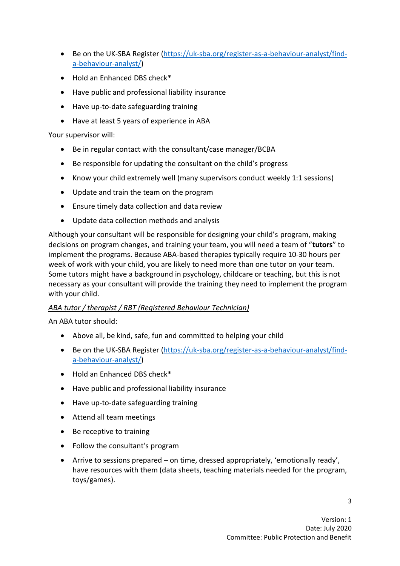- Be on the UK-SBA Register [\(https://uk-sba.org/register-as-a-behaviour-analyst/find](https://uk-sba.org/register-as-a-behaviour-analyst/find-a-behaviour-analyst/)[a-behaviour-analyst/\)](https://uk-sba.org/register-as-a-behaviour-analyst/find-a-behaviour-analyst/)
- Hold an Enhanced DBS check\*
- Have public and professional liability insurance
- Have up-to-date safeguarding training
- Have at least 5 years of experience in ABA

Your supervisor will:

- Be in regular contact with the consultant/case manager/BCBA
- Be responsible for updating the consultant on the child's progress
- Know your child extremely well (many supervisors conduct weekly 1:1 sessions)
- Update and train the team on the program
- Ensure timely data collection and data review
- Update data collection methods and analysis

Although your consultant will be responsible for designing your child's program, making decisions on program changes, and training your team, you will need a team of "**tutors**" to implement the programs. Because ABA-based therapies typically require 10-30 hours per week of work with your child, you are likely to need more than one tutor on your team. Some tutors might have a background in psychology, childcare or teaching, but this is not necessary as your consultant will provide the training they need to implement the program with your child.

## *ABA tutor / therapist / RBT (Registered Behaviour Technician)*

An ABA tutor should:

- Above all, be kind, safe, fun and committed to helping your child
- Be on the UK-SBA Register [\(https://uk-sba.org/register-as-a-behaviour-analyst/find](https://uk-sba.org/register-as-a-behaviour-analyst/find-a-behaviour-analyst/)[a-behaviour-analyst/\)](https://uk-sba.org/register-as-a-behaviour-analyst/find-a-behaviour-analyst/)
- Hold an Enhanced DBS check\*
- Have public and professional liability insurance
- Have up-to-date safeguarding training
- Attend all team meetings
- Be receptive to training
- Follow the consultant's program
- Arrive to sessions prepared on time, dressed appropriately, 'emotionally ready', have resources with them (data sheets, teaching materials needed for the program, toys/games).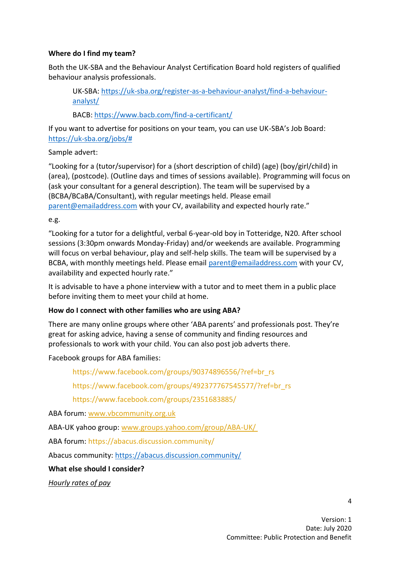## **Where do I find my team?**

Both the UK-SBA and the Behaviour Analyst Certification Board hold registers of qualified behaviour analysis professionals.

UK-SBA[: https://uk-sba.org/register-as-a-behaviour-analyst/find-a-behaviour](https://uk-sba.org/register-as-a-behaviour-analyst/find-a-behaviour-analyst/)[analyst/](https://uk-sba.org/register-as-a-behaviour-analyst/find-a-behaviour-analyst/)

BACB:<https://www.bacb.com/find-a-certificant/>

If you want to advertise for positions on your team, you can use UK-SBA's Job Board: [https://uk-sba.org/jobs/#](https://uk-sba.org/jobs/)

Sample advert:

"Looking for a (tutor/supervisor) for a (short description of child) (age) (boy/girl/child) in (area), (postcode). (Outline days and times of sessions available). Programming will focus on (ask your consultant for a general description). The team will be supervised by a (BCBA/BCaBA/Consultant), with regular meetings held. Please email [parent@emailaddress.com](mailto:parent@emailaddress.com) with your CV, availability and expected hourly rate."

#### e.g.

"Looking for a tutor for a delightful, verbal 6-year-old boy in Totteridge, N20. After school sessions (3:30pm onwards Monday-Friday) and/or weekends are available. Programming will focus on verbal behaviour, play and self-help skills. The team will be supervised by a BCBA, with monthly meetings held. Please email [parent@emailaddress.com](mailto:parent@emailaddress.com) with your CV, availability and expected hourly rate."

It is advisable to have a phone interview with a tutor and to meet them in a public place before inviting them to meet your child at home.

## **How do I connect with other families who are using ABA?**

There are many online groups where other 'ABA parents' and professionals post. They're great for asking advice, having a sense of community and finding resources and professionals to work with your child. You can also post job adverts there.

Facebook groups for ABA families:

[https://www.facebook.com/groups/90374896556/?ref=br\\_rs](https://www.facebook.com/groups/90374896556/?ref=br_rs) [https://www.facebook.com/groups/492377767545577/?ref=br\\_rs](https://www.facebook.com/groups/492377767545577/?ref=br_rs)

<https://www.facebook.com/groups/2351683885/>

ABA forum: [www.vbcommunity.org.uk](http://www.vbcommunity.org.uk/)

ABA-UK yahoo group: [www.groups.yahoo.com/group/ABA-UK/](https://www.steppingstonesbc.uk/links)

ABA forum:<https://abacus.discussion.community/>

Abacus community:<https://abacus.discussion.community/>

#### **What else should I consider?**

*Hourly rates of pay*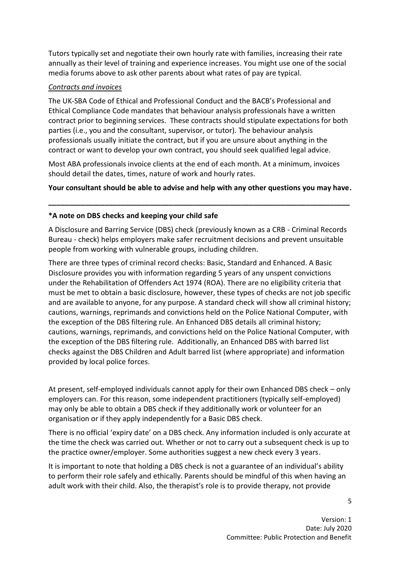Tutors typically set and negotiate their own hourly rate with families, increasing their rate annually as their level of training and experience increases. You might use one of the social media forums above to ask other parents about what rates of pay are typical.

### *Contracts and invoices*

The UK-SBA Code of Ethical and Professional Conduct and the BACB's Professional and Ethical Compliance Code mandates that behaviour analysis professionals have a written contract prior to beginning services. These contracts should stipulate expectations for both parties (i.e., you and the consultant, supervisor, or tutor). The behaviour analysis professionals usually initiate the contract, but if you are unsure about anything in the contract or want to develop your own contract, you should seek qualified legal advice.

Most ABA professionals invoice clients at the end of each month. At a minimum, invoices should detail the dates, times, nature of work and hourly rates.

#### **Your consultant should be able to advise and help with any other questions you may have.**

**\_\_\_\_\_\_\_\_\_\_\_\_\_\_\_\_\_\_\_\_\_\_\_\_\_\_\_\_\_\_\_\_\_\_\_\_\_\_\_\_\_\_\_\_\_\_\_\_\_\_\_\_\_\_\_\_\_\_\_\_\_\_\_\_\_\_\_\_\_\_\_\_\_\_\_**

#### **\*A note on DBS checks and keeping your child safe**

A Disclosure and Barring Service (DBS) check (previously known as a CRB - Criminal Records Bureau - check) helps employers make safer recruitment decisions and prevent unsuitable people from working with vulnerable groups, including children.

There are three types of criminal record checks: Basic, Standard and Enhanced. A Basic Disclosure provides you with information regarding 5 years of any unspent convictions under the Rehabilitation of Offenders Act 1974 (ROA). There are no eligibility criteria that must be met to obtain a basic disclosure, however, these types of checks are not job specific and are available to anyone, for any purpose. A standard check will show all criminal history; cautions, warnings, reprimands and convictions held on the Police National Computer, with the exception of the DBS filtering rule. An Enhanced DBS details all criminal history; cautions, warnings, reprimands, and convictions held on the Police National Computer, with the exception of the DBS filtering rule. Additionally, an Enhanced DBS with barred list checks against the DBS Children and Adult barred list (where appropriate) and information provided by local police forces.

At present, self-employed individuals cannot apply for their own Enhanced DBS check – only employers can. For this reason, some independent practitioners (typically self-employed) may only be able to obtain a DBS check if they additionally work or volunteer for an organisation or if they apply independently for a Basic DBS check.

There is no official 'expiry date' on a DBS check. Any information included is only accurate at the time the check was carried out. Whether or not to carry out a subsequent check is up to the practice owner/employer. Some authorities suggest a new check every 3 years.

It is important to note that holding a DBS check is not a guarantee of an individual's ability to perform their role safely and ethically. Parents should be mindful of this when having an adult work with their child. Also, the therapist's role is to provide therapy, not provide